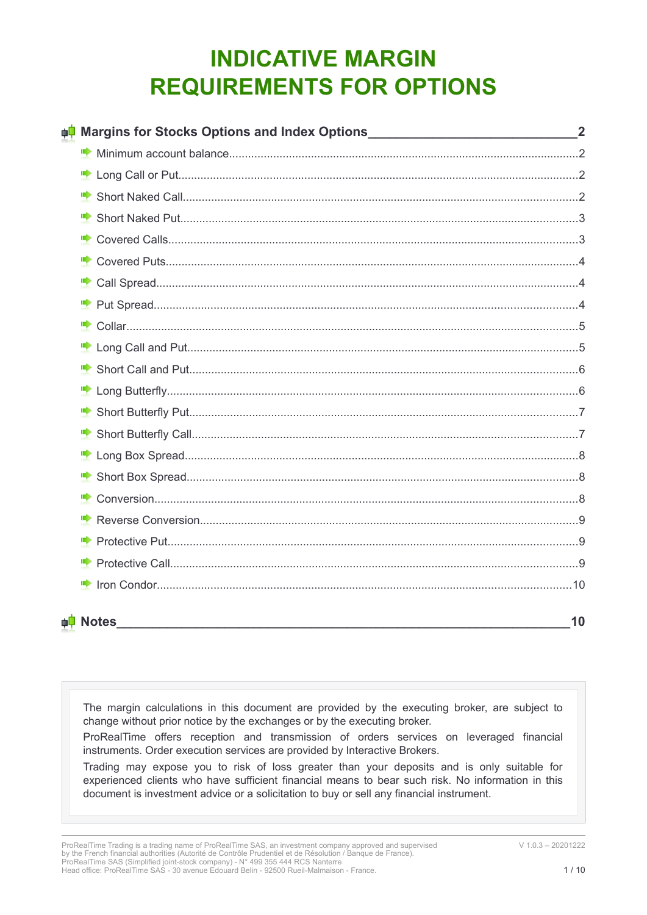# **INDICATIVE MARGIN REQUIREMENTS FOR OPTIONS**

| <sub>‡</sub> ‡ Margins for Stocks Options and Index Options_______________________________2 |                      |
|---------------------------------------------------------------------------------------------|----------------------|
|                                                                                             |                      |
|                                                                                             |                      |
|                                                                                             |                      |
|                                                                                             |                      |
|                                                                                             |                      |
|                                                                                             |                      |
|                                                                                             |                      |
|                                                                                             |                      |
|                                                                                             |                      |
|                                                                                             |                      |
|                                                                                             |                      |
|                                                                                             |                      |
|                                                                                             |                      |
|                                                                                             |                      |
|                                                                                             |                      |
|                                                                                             |                      |
|                                                                                             |                      |
|                                                                                             |                      |
|                                                                                             |                      |
|                                                                                             |                      |
|                                                                                             |                      |
|                                                                                             | 10                   |
|                                                                                             | <sub>∎</sub> i Notes |

The margin calculations in this document are provided by the executing broker, are subject to change without prior notice by the exchanges or by the executing broker.

ProRealTime offers reception and transmission of orders services on leveraged financial instruments. Order execution services are provided by Interactive Brokers.

Trading may expose you to risk of loss greater than your deposits and is only suitable for experienced clients who have sufficient financial means to bear such risk. No information in this document is investment advice or a solicitation to buy or sell any financial instrument.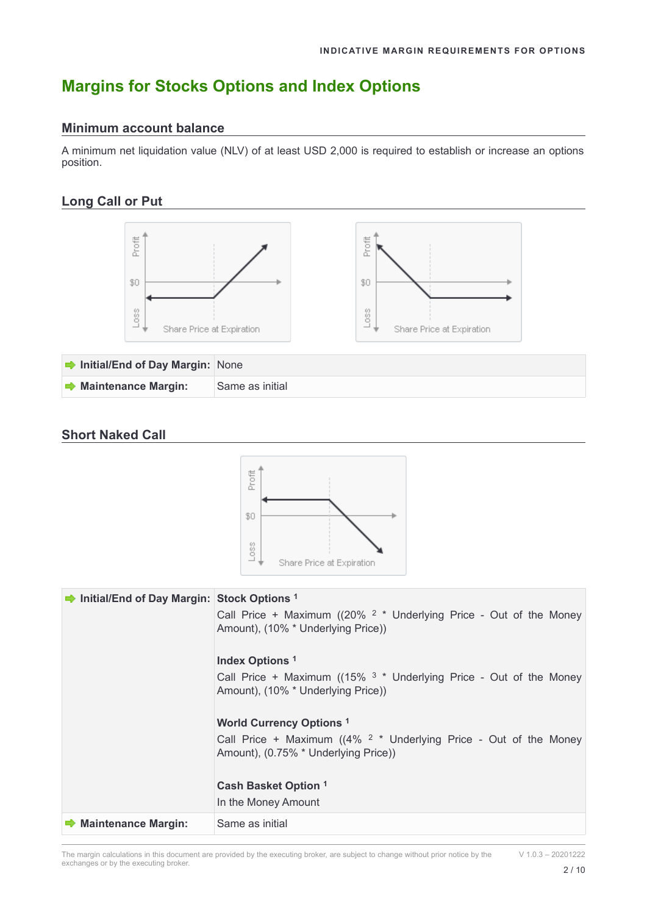## <span id="page-1-3"></span>**Margins for Stocks Options and Index Options**

#### <span id="page-1-2"></span>**Minimum account balance**

A minimum net liquidation value (NLV) of at least USD 2,000 is required to establish or increase an options position.

## <span id="page-1-1"></span>**Long Call or Put**



### <span id="page-1-0"></span>**Short Naked Call**



| Initial/End of Day Margin: Stock Options <sup>1</sup> | Call Price + Maximum ( $(20\%~^2$ * Underlying Price - Out of the Money<br>Amount), (10% * Underlying Price))              |
|-------------------------------------------------------|----------------------------------------------------------------------------------------------------------------------------|
|                                                       | Index Options <sup>1</sup>                                                                                                 |
|                                                       | Call Price + Maximum ( $(15\%$ <sup>3</sup> * Underlying Price - Out of the Money<br>Amount), (10% * Underlying Price))    |
|                                                       | <b>World Currency Options 1</b>                                                                                            |
|                                                       | Call Price + Maximum ( $(4\%$ <sup>2</sup> $*$ Underlying Price - Out of the Money<br>Amount), (0.75% * Underlying Price)) |
|                                                       | Cash Basket Option 1                                                                                                       |
|                                                       | In the Money Amount                                                                                                        |
| $\rightarrow$ Maintenance Margin:                     | Same as initial                                                                                                            |

The margin calculations in this document are provided by the executing broker, are subject to change without prior notice by the exchanges or by the executing broker.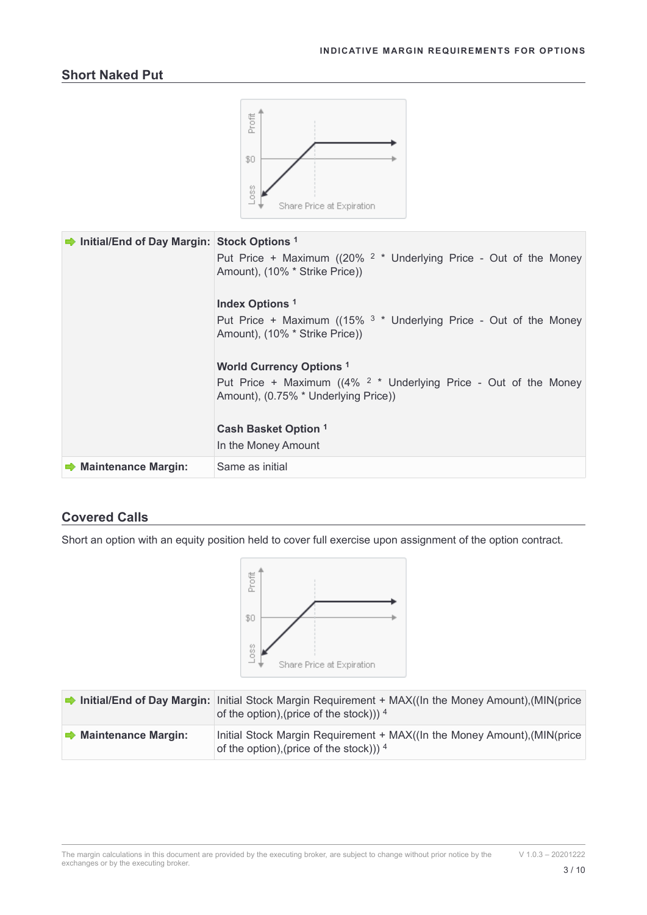<span id="page-2-1"></span>

#### <span id="page-2-0"></span>**Covered Calls**

Short an option with an equity position held to cover full exercise upon assignment of the option contract.



|                                   | Initial/End of Day Margin: Initial Stock Margin Requirement + $MAX((\text{In the Money Amount})$ , $(\text{MIN}(price \rightarrow \text{Intra})$<br>of the option), (price of the stock))) $^4$ |
|-----------------------------------|-------------------------------------------------------------------------------------------------------------------------------------------------------------------------------------------------|
| $\rightarrow$ Maintenance Margin: | Initial Stock Margin Requirement + MAX((In the Money Amount), (MIN(price<br>of the option), (price of the stock))) $^4$                                                                         |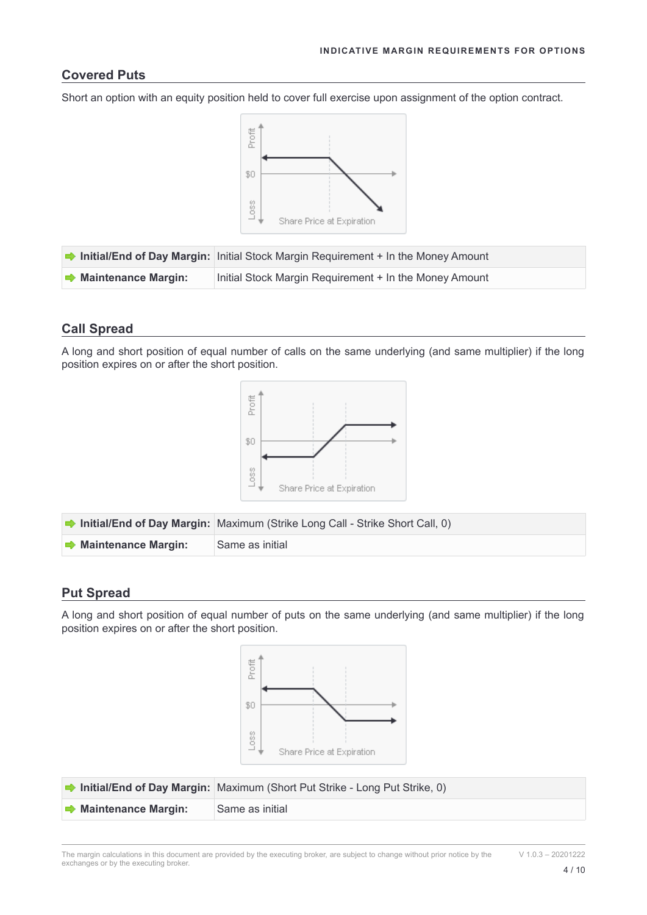#### <span id="page-3-2"></span>**Covered Puts**

Short an option with an equity position held to cover full exercise upon assignment of the option contract.



|                                   | Initial/End of Day Margin: Initial Stock Margin Requirement + In the Money Amount |
|-----------------------------------|-----------------------------------------------------------------------------------|
| $\rightarrow$ Maintenance Margin: | Initial Stock Margin Requirement + In the Money Amount                            |

## <span id="page-3-1"></span>**Call Spread**

A long and short position of equal number of calls on the same underlying (and same multiplier) if the long position expires on or after the short position.



|                                   | <b>• Initial/End of Day Margin:</b> Maximum (Strike Long Call - Strike Short Call, 0) |
|-----------------------------------|---------------------------------------------------------------------------------------|
| $\rightarrow$ Maintenance Margin: | ∣Same as initial                                                                      |

#### <span id="page-3-0"></span>**Put Spread**

A long and short position of equal number of puts on the same underlying (and same multiplier) if the long position expires on or after the short position.



|                                   | <b>herally End of Day Margin:</b> Maximum (Short Put Strike - Long Put Strike, 0) |
|-----------------------------------|-----------------------------------------------------------------------------------|
| $\rightarrow$ Maintenance Margin: | l Same as initial                                                                 |

The margin calculations in this document are provided by the executing broker, are subject to change without prior notice by the exchanges or by the executing broker.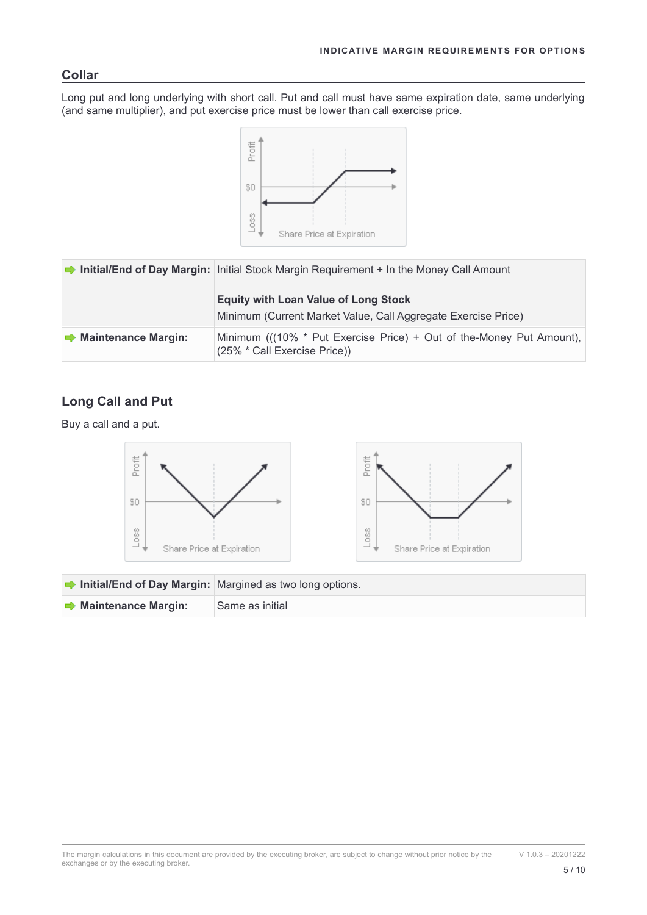#### <span id="page-4-1"></span>**Collar**

Long put and long underlying with short call. Put and call must have same expiration date, same underlying (and same multiplier), and put exercise price must be lower than call exercise price.



|                              | Initial/End of Day Margin: Initial Stock Margin Requirement + In the Money Call Amount                       |
|------------------------------|--------------------------------------------------------------------------------------------------------------|
|                              | <b>Equity with Loan Value of Long Stock</b><br>Minimum (Current Market Value, Call Aggregate Exercise Price) |
| <b>■ Maintenance Margin:</b> | Minimum (((10% * Put Exercise Price) + Out of the-Money Put Amount),<br>(25% * Call Exercise Price))         |

## <span id="page-4-0"></span>**Long Call and Put**

 $\rightarrow$  **Maintenance Margin:** Same as initial

Buy a call and a put.

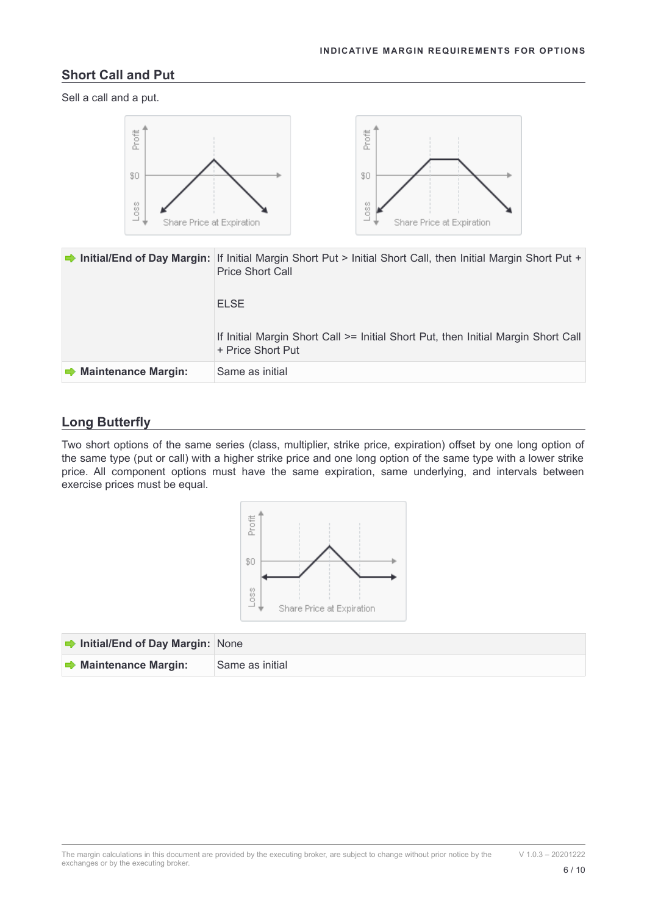#### <span id="page-5-1"></span>**Short Call and Put**

Sell a call and a put.



|                                   | Initial/End of Day Margin: If Initial Margin Short Put > Initial Short Call, then Initial Margin Short Put +<br><b>Price Short Call</b><br><b>ELSE</b> |
|-----------------------------------|--------------------------------------------------------------------------------------------------------------------------------------------------------|
|                                   | If Initial Margin Short Call >= Initial Short Put, then Initial Margin Short Call<br>+ Price Short Put                                                 |
| $\Rightarrow$ Maintenance Margin: | Same as initial                                                                                                                                        |

#### <span id="page-5-0"></span>**Long Butterfly**

Two short options of the same series (class, multiplier, strike price, expiration) offset by one long option of the same type (put or call) with a higher strike price and one long option of the same type with a lower strike price. All component options must have the same expiration, same underlying, and intervals between exercise prices must be equal.



| Initial/End of Day Margin: None   |                 |
|-----------------------------------|-----------------|
| $\rightarrow$ Maintenance Margin: | Same as initial |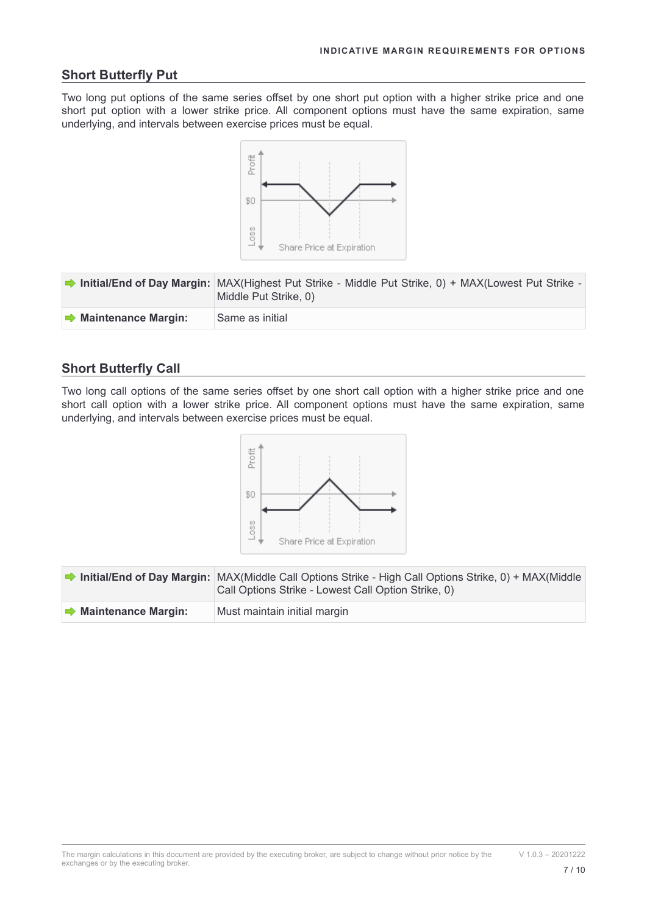#### <span id="page-6-1"></span>**Short Butterfly Put**

Two long put options of the same series offset by one short put option with a higher strike price and one short put option with a lower strike price. All component options must have the same expiration, same underlying, and intervals between exercise prices must be equal.



|                                   | <b>→ Initial/End of Day Margin:</b> MAX(Highest Put Strike - Middle Put Strike, 0) + MAX(Lowest Put Strike -<br>Middle Put Strike, 0) |
|-----------------------------------|---------------------------------------------------------------------------------------------------------------------------------------|
| $\rightarrow$ Maintenance Margin: | Same as initial                                                                                                                       |

#### <span id="page-6-0"></span>**Short Butterfly Call**

Two long call options of the same series offset by one short call option with a higher strike price and one short call option with a lower strike price. All component options must have the same expiration, same underlying, and intervals between exercise prices must be equal.



|                                   | <b>hitial/End of Day Margin:</b> MAX(Middle Call Options Strike - High Call Options Strike, $0$ ) + MAX(Middle<br>Call Options Strike - Lowest Call Option Strike, 0) |
|-----------------------------------|-----------------------------------------------------------------------------------------------------------------------------------------------------------------------|
| $\rightarrow$ Maintenance Margin: | Must maintain initial margin                                                                                                                                          |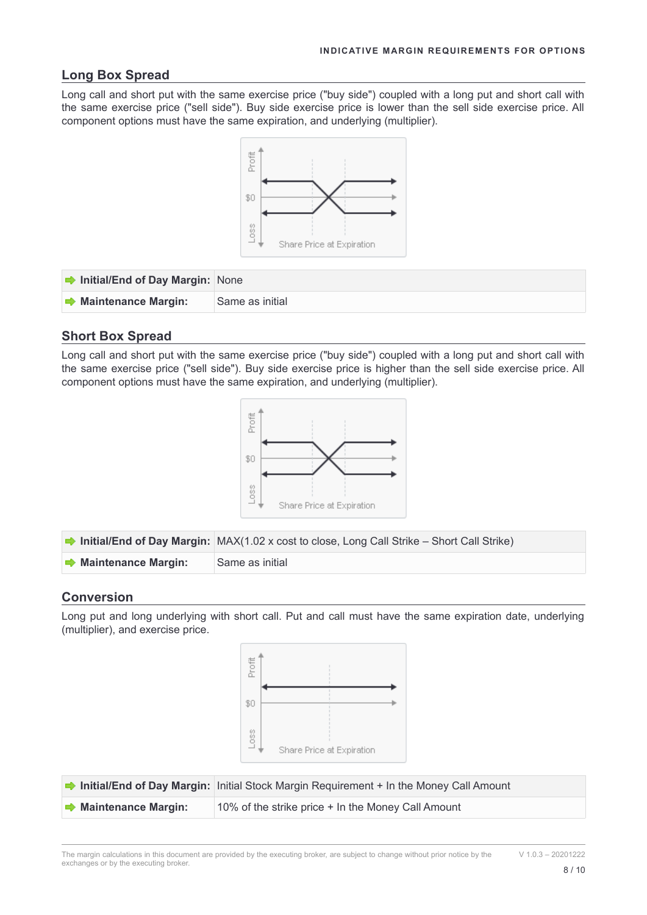#### <span id="page-7-2"></span>**Long Box Spread**

Long call and short put with the same exercise price ("buy side") coupled with a long put and short call with the same exercise price ("sell side"). Buy side exercise price is lower than the sell side exercise price. All component options must have the same expiration, and underlying (multiplier).



| $\rightarrow$ Initial/End of Day Margin: None |                 |
|-----------------------------------------------|-----------------|
| $\rightarrow$ Maintenance Margin:             | Same as initial |

#### <span id="page-7-1"></span>**Short Box Spread**

Long call and short put with the same exercise price ("buy side") coupled with a long put and short call with the same exercise price ("sell side"). Buy side exercise price is higher than the sell side exercise price. All component options must have the same expiration, and underlying (multiplier).



|                                   | <b>hitial/End of Day Margin:</b> $MAX(1.02 \times cost to close, Long Call Strike - Short Call Strike)$ |
|-----------------------------------|---------------------------------------------------------------------------------------------------------|
| $\rightarrow$ Maintenance Margin: | Same as initial                                                                                         |

#### <span id="page-7-0"></span>**Conversion**

Long put and long underlying with short call. Put and call must have the same expiration date, underlying (multiplier), and exercise price.



|                                   | Initial/End of Day Margin: Initial Stock Margin Requirement + In the Money Call Amount |
|-----------------------------------|----------------------------------------------------------------------------------------|
| $\rightarrow$ Maintenance Margin: | 10% of the strike price + In the Money Call Amount                                     |

The margin calculations in this document are provided by the executing broker, are subject to change without prior notice by the exchanges or by the executing broker.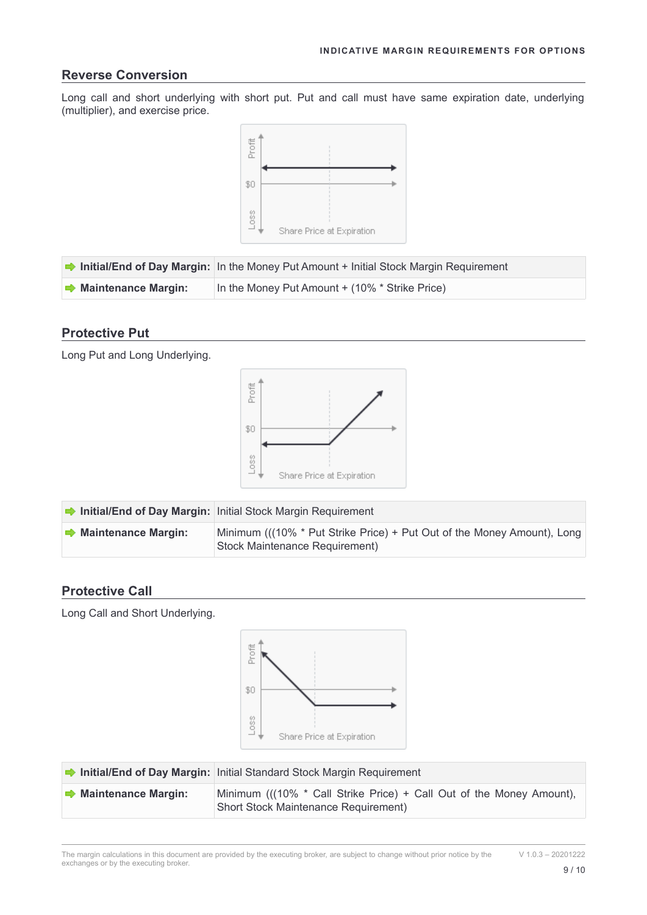#### <span id="page-8-2"></span>**Reverse Conversion**

Long call and short underlying with short put. Put and call must have same expiration date, underlying (multiplier), and exercise price.



|                                   | Initial/End of Day Margin: In the Money Put Amount + Initial Stock Margin Requirement |
|-----------------------------------|---------------------------------------------------------------------------------------|
| $\rightarrow$ Maintenance Margin: | In the Money Put Amount + (10% * Strike Price)                                        |

#### <span id="page-8-1"></span>**Protective Put**

Long Put and Long Underlying.



|                                   | Initial/End of Day Margin: Initial Stock Margin Requirement                                              |
|-----------------------------------|----------------------------------------------------------------------------------------------------------|
| $\rightarrow$ Maintenance Margin: | Minimum ((10% * Put Strike Price) + Put Out of the Money Amount), Long<br>Stock Maintenance Requirement) |

#### <span id="page-8-0"></span>**Protective Call**

Long Call and Short Underlying.



|                                   | Initial/End of Day Margin: Initial Standard Stock Margin Requirement                                        |
|-----------------------------------|-------------------------------------------------------------------------------------------------------------|
| $\rightarrow$ Maintenance Margin: | Minimum ((10% * Call Strike Price) + Call Out of the Money Amount),<br>Short Stock Maintenance Requirement) |